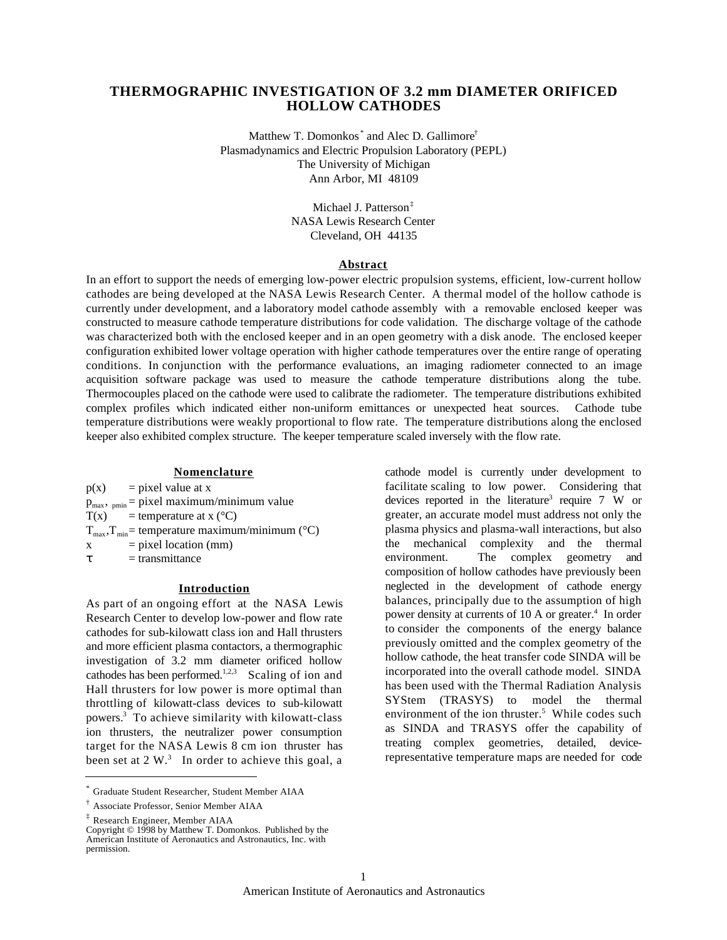# **THERMOGRAPHIC INVESTIGATION OF 3.2 mm DIAMETER ORIFICED HOLLOW CATHODES**

Matthew T. Domonkos<sup>\*</sup> and Alec D. Gallimore<sup>†</sup> Plasmadynamics and Electric Propulsion Laboratory (PEPL) The University of Michigan Ann Arbor, MI 48109

> Michael J. Patterson‡ NASA Lewis Research Center Cleveland, OH 44135

#### **Abstract**

In an effort to support the needs of emerging low-power electric propulsion systems, efficient, low-current hollow cathodes are being developed at the NASA Lewis Research Center. A thermal model of the hollow cathode is currently under development, and a laboratory model cathode assembly with a removable enclosed keeper was constructed to measure cathode temperature distributions for code validation. The discharge voltage of the cathode was characterized both with the enclosed keeper and in an open geometry with a disk anode. The enclosed keeper configuration exhibited lower voltage operation with higher cathode temperatures over the entire range of operating conditions. In conjunction with the performance evaluations, an imaging radiometer connected to an image acquisition software package was used to measure the cathode temperature distributions along the tube. Thermocouples placed on the cathode were used to calibrate the radiometer. The temperature distributions exhibited complex profiles which indicated either non-uniform emittances or unexpected heat sources. Cathode tube temperature distributions were weakly proportional to flow rate. The temperature distributions along the enclosed keeper also exhibited complex structure. The keeper temperature scaled inversely with the flow rate.

#### **Nomenclature**

- $p(x)$  = pixel value at x
- $p_{\text{max}}$ ,  $_{\text{pmin}}$  = pixel maximum/minimum value
- $T(x)$  = temperature at x (°C)
- $T_{\text{max}}$ ,  $T_{\text{min}}$  = temperature maximum/minimum (°C)
- $x = pixel location (mm)$ 
	- $=$  transmittance

## **Introduction**

As part of an ongoing effort at the NASA Lewis Research Center to develop low-power and flow rate cathodes for sub-kilowatt class ion and Hall thrusters and more efficient plasma contactors, a thermographic investigation of 3.2 mm diameter orificed hollow cathodes has been performed.<sup>1,2,3</sup> Scaling of ion and Hall thrusters for low power is more optimal than throttling of kilowatt-class devices to sub-kilowatt powers.<sup>3</sup> To achieve similarity with kilowatt-class ion thrusters, the neutralizer power consumption target for the NASA Lewis 8 cm ion thruster has been set at  $2 \text{ W.}^3$  In order to achieve this goal, a

‡ Research Engineer, Member AIAA

 $\overline{a}$ 

cathode model is currently under development to facilitate scaling to low power. Considering that devices reported in the literature<sup>3</sup> require  $7 \text{ W}$  or greater, an accurate model must address not only the plasma physics and plasma-wall interactions, but also the mechanical complexity and the thermal environment. The complex geometry and composition of hollow cathodes have previously been neglected in the development of cathode energy balances, principally due to the assumption of high power density at currents of 10 A or greater.<sup>4</sup> In order to consider the components of the energy balance previously omitted and the complex geometry of the hollow cathode, the heat transfer code SINDA will be incorporated into the overall cathode model. SINDA has been used with the Thermal Radiation Analysis SYStem (TRASYS) to model the thermal environment of the ion thruster.<sup>5</sup> While codes such as SINDA and TRASYS offer the capability of treating complex geometries, detailed, devicerepresentative temperature maps are needed for code

<sup>\*</sup> Graduate Student Researcher, Student Member AIAA

<sup>†</sup> Associate Professor, Senior Member AIAA

Copyright © 1998 by Matthew T. Domonkos. Published by the American Institute of Aeronautics and Astronautics, Inc. with permission.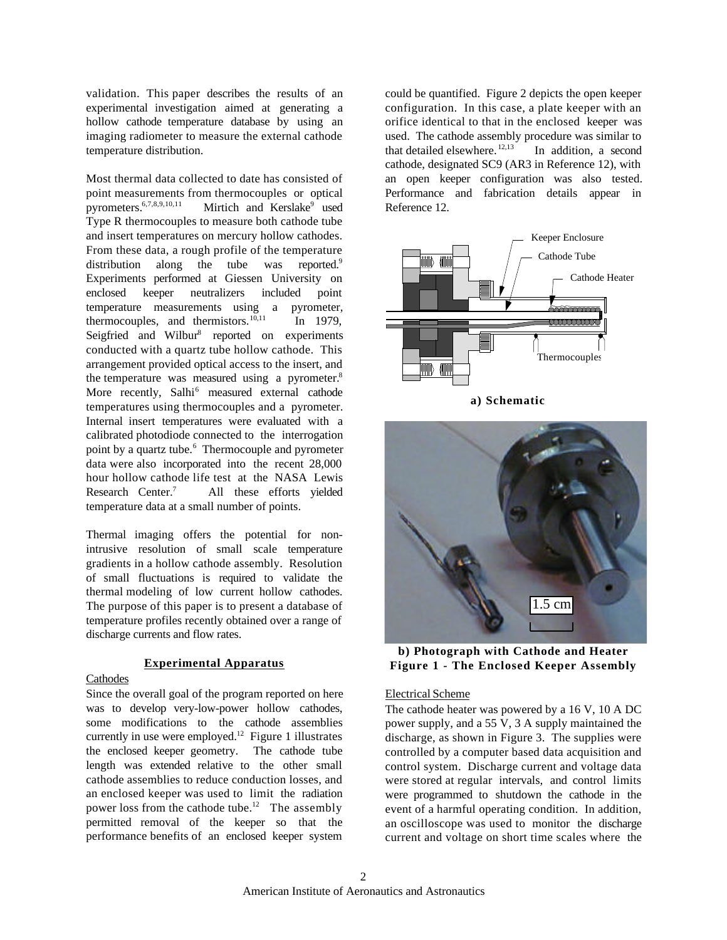validation. This paper describes the results of an experimental investigation aimed at generating a hollow cathode temperature database by using an imaging radiometer to measure the external cathode temperature distribution.

Most thermal data collected to date has consisted of point measurements from thermocouples or optical pyrometers. $6,7,8,9,10,11$ Mirtich and Kerslake<sup>9</sup> used Type R thermocouples to measure both cathode tube and insert temperatures on mercury hollow cathodes. From these data, a rough profile of the temperature distribution along the tube was reported.<sup>9</sup> Experiments performed at Giessen University on enclosed keeper neutralizers included point temperature measurements using a pyrometer, thermocouples, and thermistors. $^{10,11}$  In 1979, Seigfried and Wilbur<sup>8</sup> reported on experiments conducted with a quartz tube hollow cathode. This arrangement provided optical access to the insert, and the temperature was measured using a pyrometer.<sup>8</sup> More recently, Salhi<sup>6</sup> measured external cathode temperatures using thermocouples and a pyrometer. Internal insert temperatures were evaluated with a calibrated photodiode connected to the interrogation point by a quartz tube.<sup>6</sup> Thermocouple and pyrometer data were also incorporated into the recent 28,000 hour hollow cathode life test at the NASA Lewis Research Center.<sup>7</sup> All these efforts yielded temperature data at a small number of points.

Thermal imaging offers the potential for nonintrusive resolution of small scale temperature gradients in a hollow cathode assembly. Resolution of small fluctuations is required to validate the thermal modeling of low current hollow cathodes. The purpose of this paper is to present a database of temperature profiles recently obtained over a range of discharge currents and flow rates.

# **Experimental Apparatus**

## Cathodes

Since the overall goal of the program reported on here was to develop very-low-power hollow cathodes, some modifications to the cathode assemblies currently in use were employed.<sup>12</sup> Figure 1 illustrates the enclosed keeper geometry. The cathode tube length was extended relative to the other small cathode assemblies to reduce conduction losses, and an enclosed keeper was used to limit the radiation power loss from the cathode tube.<sup>12</sup> The assembly permitted removal of the keeper so that the performance benefits of an enclosed keeper system

could be quantified. Figure 2 depicts the open keeper configuration. In this case, a plate keeper with an orifice identical to that in the enclosed keeper was used. The cathode assembly procedure was similar to that detailed elsewhere.<sup>12,13</sup> In addition, a second cathode, designated SC9 (AR3 in Reference 12), with an open keeper configuration was also tested. Performance and fabrication details appear in Reference 12.



**a) Schematic**



**b) Photograph with Cathode and Heater Figure 1 - The Enclosed Keeper Assembly**

### Electrical Scheme

The cathode heater was powered by a 16 V, 10 A DC power supply, and a 55 V, 3 A supply maintained the discharge, as shown in Figure 3. The supplies were controlled by a computer based data acquisition and control system. Discharge current and voltage data were stored at regular intervals, and control limits were programmed to shutdown the cathode in the event of a harmful operating condition. In addition, an oscilloscope was used to monitor the discharge current and voltage on short time scales where the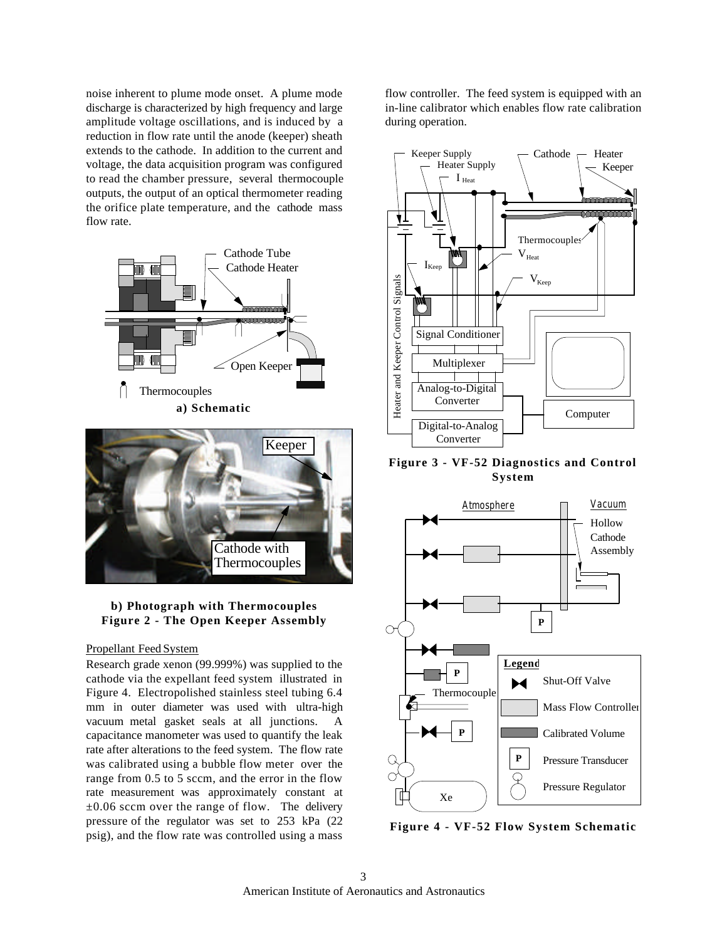noise inherent to plume mode onset. A plume mode discharge is characterized by high frequency and large amplitude voltage oscillations, and is induced by a reduction in flow rate until the anode (keeper) sheath extends to the cathode. In addition to the current and voltage, the data acquisition program was configured to read the chamber pressure, several thermocouple outputs, the output of an optical thermometer reading the orifice plate temperature, and the cathode mass flow rate.





## **b) Photograph with Thermocouples Figure 2 - The Open Keeper Assembly**

#### Propellant Feed System

Research grade xenon (99.999%) was supplied to the cathode via the expellant feed system illustrated in Figure 4. Electropolished stainless steel tubing 6.4 mm in outer diameter was used with ultra-high vacuum metal gasket seals at all junctions. A capacitance manometer was used to quantify the leak rate after alterations to the feed system. The flow rate was calibrated using a bubble flow meter over the range from 0.5 to 5 sccm, and the error in the flow rate measurement was approximately constant at  $\pm 0.06$  sccm over the range of flow. The delivery pressure of the regulator was set to 253 kPa (22 psig), and the flow rate was controlled using a mass

flow controller. The feed system is equipped with an in-line calibrator which enables flow rate calibration during operation.



**Figure 3 - VF-52 Diagnostics and Control System**



**Figure 4 - VF-52 Flow System Schematic**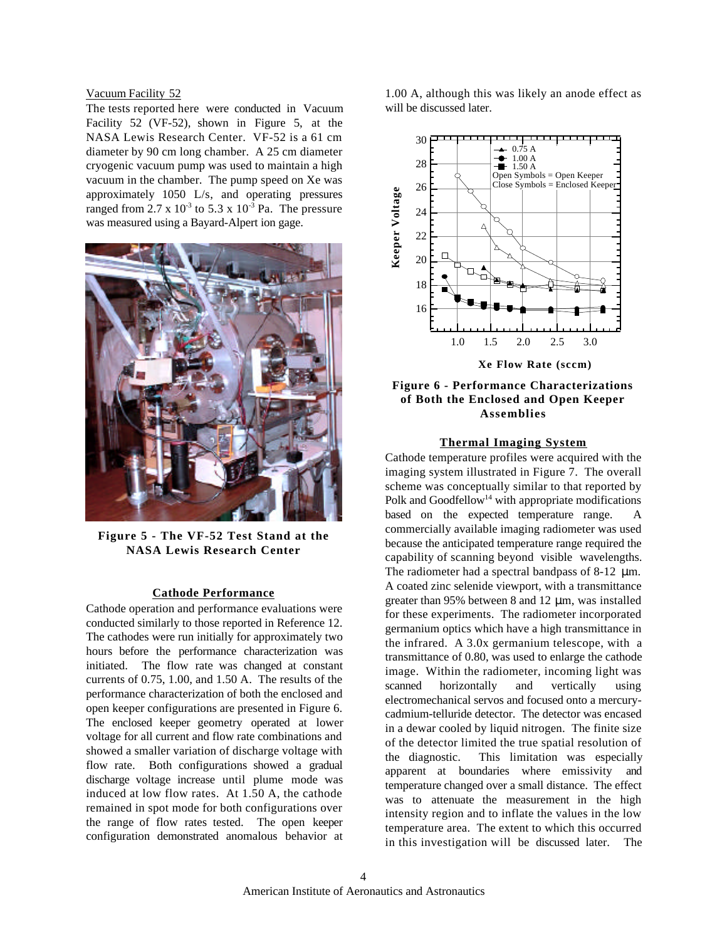#### Vacuum Facility 52

The tests reported here were conducted in Vacuum Facility 52 (VF-52), shown in Figure 5, at the NASA Lewis Research Center. VF-52 is a 61 cm diameter by 90 cm long chamber. A 25 cm diameter cryogenic vacuum pump was used to maintain a high vacuum in the chamber. The pump speed on Xe was approximately 1050 L/s, and operating pressures ranged from 2.7 x  $10^{-3}$  to 5.3 x  $10^{-3}$  Pa. The pressure was measured using a Bayard-Alpert ion gage.



**Figure 5 - The VF-52 Test Stand at the NASA Lewis Research Center**

# **Cathode Performance**

Cathode operation and performance evaluations were conducted similarly to those reported in Reference 12. The cathodes were run initially for approximately two hours before the performance characterization was initiated. The flow rate was changed at constant currents of 0.75, 1.00, and 1.50 A. The results of the performance characterization of both the enclosed and open keeper configurations are presented in Figure 6. The enclosed keeper geometry operated at lower voltage for all current and flow rate combinations and showed a smaller variation of discharge voltage with flow rate. Both configurations showed a gradual discharge voltage increase until plume mode was induced at low flow rates. At 1.50 A, the cathode remained in spot mode for both configurations over the range of flow rates tested. The open keeper configuration demonstrated anomalous behavior at 1.00 A, although this was likely an anode effect as will be discussed later.



# **Figure 6 - Performance Characterizations of Both the Enclosed and Open Keeper Assemblies**

#### **Thermal Imaging System**

Cathode temperature profiles were acquired with the imaging system illustrated in Figure 7. The overall scheme was conceptually similar to that reported by Polk and Goodfellow<sup>14</sup> with appropriate modifications based on the expected temperature range. A commercially available imaging radiometer was used because the anticipated temperature range required the capability of scanning beyond visible wavelengths. The radiometer had a spectral bandpass of 8-12  $\mu$ m. A coated zinc selenide viewport, with a transmittance greater than 95% between 8 and 12 μm, was installed for these experiments. The radiometer incorporated germanium optics which have a high transmittance in the infrared. A 3.0x germanium telescope, with a transmittance of 0.80, was used to enlarge the cathode image. Within the radiometer, incoming light was scanned horizontally and vertically using electromechanical servos and focused onto a mercurycadmium-telluride detector. The detector was encased in a dewar cooled by liquid nitrogen. The finite size of the detector limited the true spatial resolution of the diagnostic. This limitation was especially apparent at boundaries where emissivity and temperature changed over a small distance. The effect was to attenuate the measurement in the high intensity region and to inflate the values in the low temperature area. The extent to which this occurred in this investigation will be discussed later. The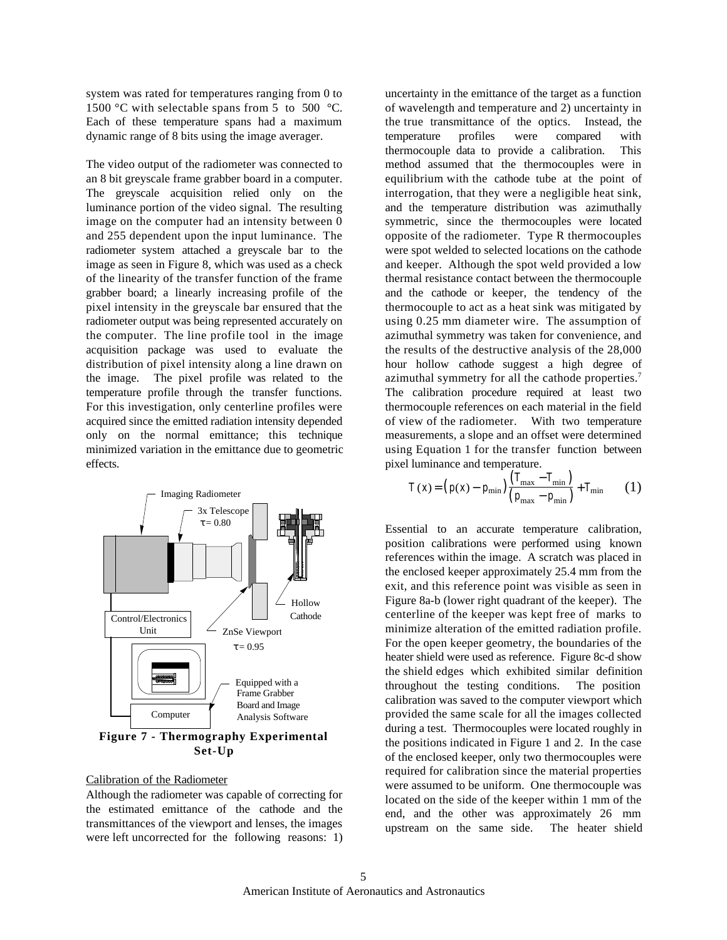system was rated for temperatures ranging from 0 to 1500 °C with selectable spans from 5 to 500 °C. Each of these temperature spans had a maximum dynamic range of 8 bits using the image averager.

The video output of the radiometer was connected to an 8 bit greyscale frame grabber board in a computer. The greyscale acquisition relied only on the luminance portion of the video signal. The resulting image on the computer had an intensity between 0 and 255 dependent upon the input luminance. The radiometer system attached a greyscale bar to the image as seen in Figure 8, which was used as a check of the linearity of the transfer function of the frame grabber board; a linearly increasing profile of the pixel intensity in the greyscale bar ensured that the radiometer output was being represented accurately on the computer. The line profile tool in the image acquisition package was used to evaluate the distribution of pixel intensity along a line drawn on the image. The pixel profile was related to the temperature profile through the transfer functions. For this investigation, only centerline profiles were acquired since the emitted radiation intensity depended only on the normal emittance; this technique minimized variation in the emittance due to geometric effects.



**Figure 7 - Thermography Experimental Set-Up**

#### Calibration of the Radiometer

Although the radiometer was capable of correcting for the estimated emittance of the cathode and the transmittances of the viewport and lenses, the images were left uncorrected for the following reasons: 1) uncertainty in the emittance of the target as a function of wavelength and temperature and 2) uncertainty in the true transmittance of the optics. Instead, the temperature profiles were compared with thermocouple data to provide a calibration. This method assumed that the thermocouples were in equilibrium with the cathode tube at the point of interrogation, that they were a negligible heat sink, and the temperature distribution was azimuthally symmetric, since the thermocouples were located opposite of the radiometer. Type R thermocouples were spot welded to selected locations on the cathode and keeper. Although the spot weld provided a low thermal resistance contact between the thermocouple and the cathode or keeper, the tendency of the thermocouple to act as a heat sink was mitigated by using 0.25 mm diameter wire. The assumption of azimuthal symmetry was taken for convenience, and the results of the destructive analysis of the 28,000 hour hollow cathode suggest a high degree of azimuthal symmetry for all the cathode properties.<sup>7</sup> The calibration procedure required at least two thermocouple references on each material in the field of view of the radiometer. With two temperature measurements, a slope and an offset were determined using Equation 1 for the transfer function between pixel luminance and temperature.

$$
T(x) = (p(x) - p_{\min}) \frac{(T_{\max} - T_{\min})}{(p_{\max} - p_{\min})} + T_{\min}
$$
 (1)

Essential to an accurate temperature calibration, position calibrations were performed using known references within the image. A scratch was placed in the enclosed keeper approximately 25.4 mm from the exit, and this reference point was visible as seen in Figure 8a-b (lower right quadrant of the keeper). The centerline of the keeper was kept free of marks to minimize alteration of the emitted radiation profile. For the open keeper geometry, the boundaries of the heater shield were used as reference. Figure 8c-d show the shield edges which exhibited similar definition throughout the testing conditions. The position calibration was saved to the computer viewport which provided the same scale for all the images collected during a test. Thermocouples were located roughly in the positions indicated in Figure 1 and 2. In the case of the enclosed keeper, only two thermocouples were required for calibration since the material properties were assumed to be uniform. One thermocouple was located on the side of the keeper within 1 mm of the end, and the other was approximately 26 mm upstream on the same side. The heater shield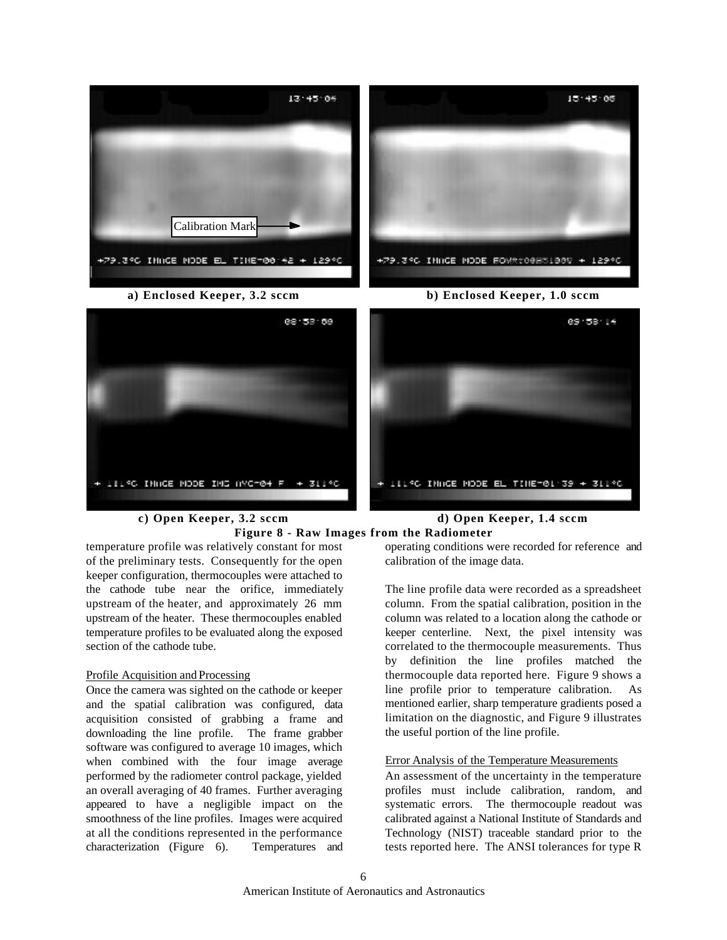

**Figure 8 - Raw Images from the Radiometer**

temperature profile was relatively constant for most of the preliminary tests. Consequently for the open keeper configuration, thermocouples were attached to the cathode tube near the orifice, immediately upstream of the heater, and approximately 26 mm upstream of the heater. These thermocouples enabled temperature profiles to be evaluated along the exposed section of the cathode tube.

### Profile Acquisition and Processing

Once the camera was sighted on the cathode or keeper and the spatial calibration was configured, data acquisition consisted of grabbing a frame and downloading the line profile. The frame grabber software was configured to average 10 images, which when combined with the four image average performed by the radiometer control package, yielded an overall averaging of 40 frames. Further averaging appeared to have a negligible impact on the smoothness of the line profiles. Images were acquired at all the conditions represented in the performance characterization (Figure 6). Temperatures and

operating conditions were recorded for reference and calibration of the image data.

The line profile data were recorded as a spreadsheet column. From the spatial calibration, position in the column was related to a location along the cathode or keeper centerline. Next, the pixel intensity was correlated to the thermocouple measurements. Thus by definition the line profiles matched the thermocouple data reported here. Figure 9 shows a line profile prior to temperature calibration. As mentioned earlier, sharp temperature gradients posed a limitation on the diagnostic, and Figure 9 illustrates the useful portion of the line profile.

## Error Analysis of the Temperature Measurements

An assessment of the uncertainty in the temperature profiles must include calibration, random, and systematic errors. The thermocouple readout was calibrated against a National Institute of Standards and Technology (NIST) traceable standard prior to the tests reported here. The ANSI tolerances for type R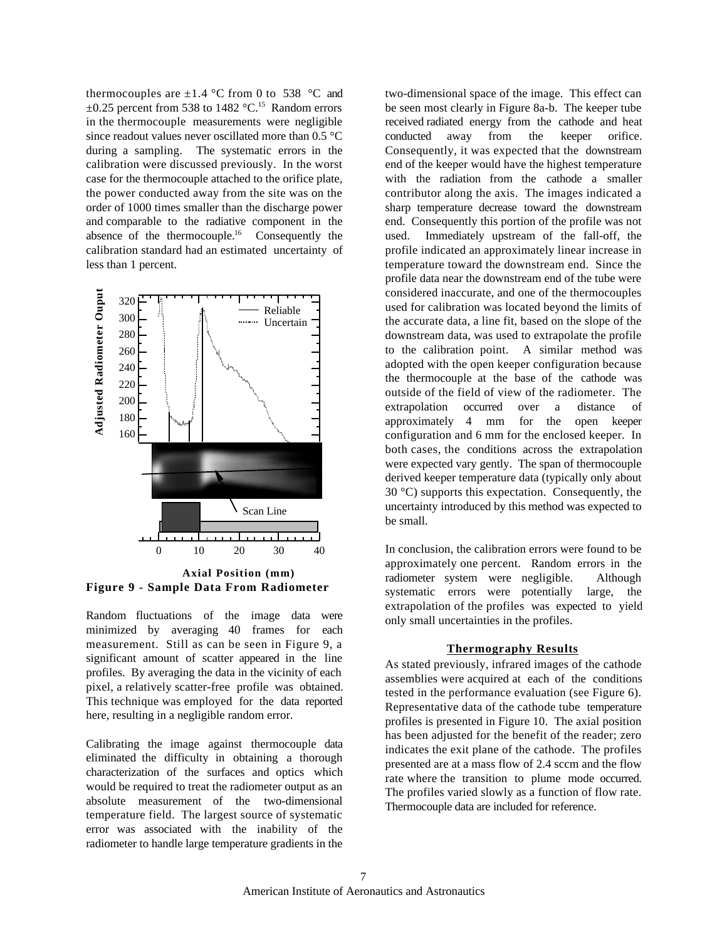thermocouples are  $\pm 1.4$  °C from 0 to 538 °C and  $\pm 0.25$  percent from 538 to 1482 °C.<sup>15</sup> Random errors in the thermocouple measurements were negligible since readout values never oscillated more than 0.5 °C during a sampling. The systematic errors in the calibration were discussed previously. In the worst case for the thermocouple attached to the orifice plate, the power conducted away from the site was on the order of 1000 times smaller than the discharge power and comparable to the radiative component in the absence of the thermocouple.<sup>16</sup> Consequently the calibration standard had an estimated uncertainty of less than 1 percent.



**Figure 9 - Sample Data From Radiometer**

Random fluctuations of the image data were minimized by averaging 40 frames for each measurement. Still as can be seen in Figure 9, a significant amount of scatter appeared in the line profiles. By averaging the data in the vicinity of each pixel, a relatively scatter-free profile was obtained. This technique was employed for the data reported here, resulting in a negligible random error.

Calibrating the image against thermocouple data eliminated the difficulty in obtaining a thorough characterization of the surfaces and optics which would be required to treat the radiometer output as an absolute measurement of the two-dimensional temperature field. The largest source of systematic error was associated with the inability of the radiometer to handle large temperature gradients in the

two-dimensional space of the image. This effect can be seen most clearly in Figure 8a-b. The keeper tube received radiated energy from the cathode and heat conducted away from the keeper orifice. Consequently, it was expected that the downstream end of the keeper would have the highest temperature with the radiation from the cathode a smaller contributor along the axis. The images indicated a sharp temperature decrease toward the downstream end. Consequently this portion of the profile was not used. Immediately upstream of the fall-off, the profile indicated an approximately linear increase in temperature toward the downstream end. Since the profile data near the downstream end of the tube were considered inaccurate, and one of the thermocouples used for calibration was located beyond the limits of the accurate data, a line fit, based on the slope of the downstream data, was used to extrapolate the profile to the calibration point. A similar method was adopted with the open keeper configuration because the thermocouple at the base of the cathode was outside of the field of view of the radiometer. The extrapolation occurred over a distance of approximately 4 mm for the open keeper configuration and 6 mm for the enclosed keeper. In both cases, the conditions across the extrapolation were expected vary gently. The span of thermocouple derived keeper temperature data (typically only about 30 °C) supports this expectation. Consequently, the uncertainty introduced by this method was expected to be small.

In conclusion, the calibration errors were found to be approximately one percent. Random errors in the radiometer system were negligible. Although systematic errors were potentially large, the extrapolation of the profiles was expected to yield only small uncertainties in the profiles.

#### **Thermography Results**

As stated previously, infrared images of the cathode assemblies were acquired at each of the conditions tested in the performance evaluation (see Figure 6). Representative data of the cathode tube temperature profiles is presented in Figure 10. The axial position has been adjusted for the benefit of the reader; zero indicates the exit plane of the cathode. The profiles presented are at a mass flow of 2.4 sccm and the flow rate where the transition to plume mode occurred. The profiles varied slowly as a function of flow rate. Thermocouple data are included for reference.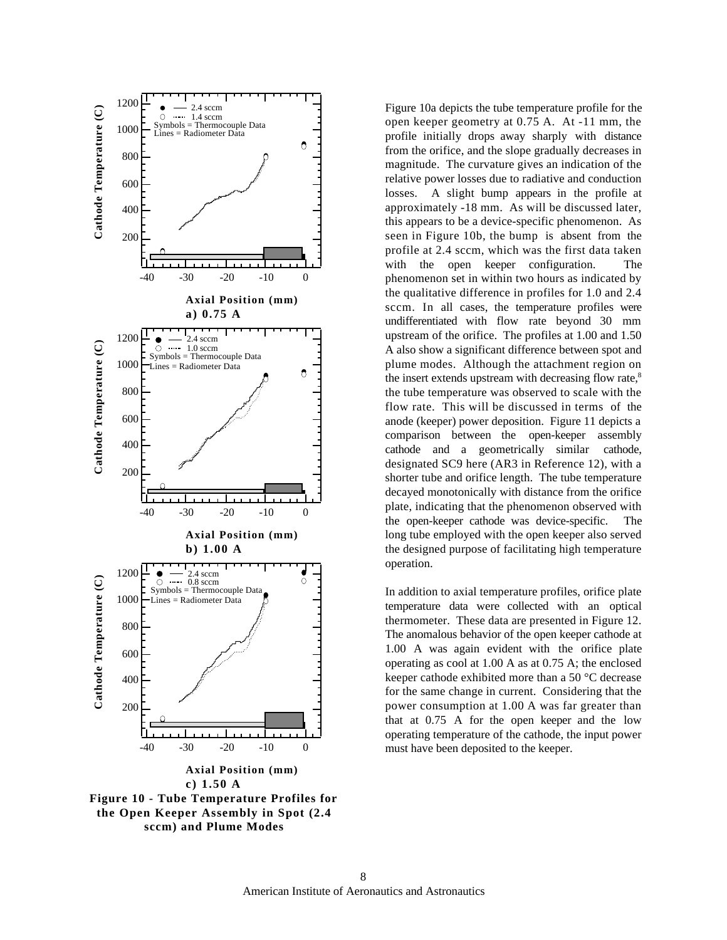

**the Open Keeper Assembly in Spot (2.4 sccm) and Plume Modes**

Figure 10a depicts the tube temperature profile for the open keeper geometry at 0.75 A. At -11 mm, the profile initially drops away sharply with distance from the orifice, and the slope gradually decreases in magnitude. The curvature gives an indication of the relative power losses due to radiative and conduction losses. A slight bump appears in the profile at approximately -18 mm. As will be discussed later, this appears to be a device-specific phenomenon. As seen in Figure 10b, the bump is absent from the profile at 2.4 sccm, which was the first data taken with the open keeper configuration. The phenomenon set in within two hours as indicated by the qualitative difference in profiles for 1.0 and 2.4 sccm. In all cases, the temperature profiles were undifferentiated with flow rate beyond 30 mm upstream of the orifice. The profiles at 1.00 and 1.50 A also show a significant difference between spot and plume modes. Although the attachment region on the insert extends upstream with decreasing flow rate,<sup>8</sup> the tube temperature was observed to scale with the flow rate. This will be discussed in terms of the anode (keeper) power deposition. Figure 11 depicts a comparison between the open-keeper assembly cathode and a geometrically similar cathode, designated SC9 here (AR3 in Reference 12), with a shorter tube and orifice length. The tube temperature decayed monotonically with distance from the orifice plate, indicating that the phenomenon observed with the open-keeper cathode was device-specific. The long tube employed with the open keeper also served the designed purpose of facilitating high temperature operation.

In addition to axial temperature profiles, orifice plate temperature data were collected with an optical thermometer. These data are presented in Figure 12. The anomalous behavior of the open keeper cathode at 1.00 A was again evident with the orifice plate operating as cool at 1.00 A as at 0.75 A; the enclosed keeper cathode exhibited more than a 50 °C decrease for the same change in current. Considering that the power consumption at 1.00 A was far greater than that at 0.75 A for the open keeper and the low operating temperature of the cathode, the input power must have been deposited to the keeper.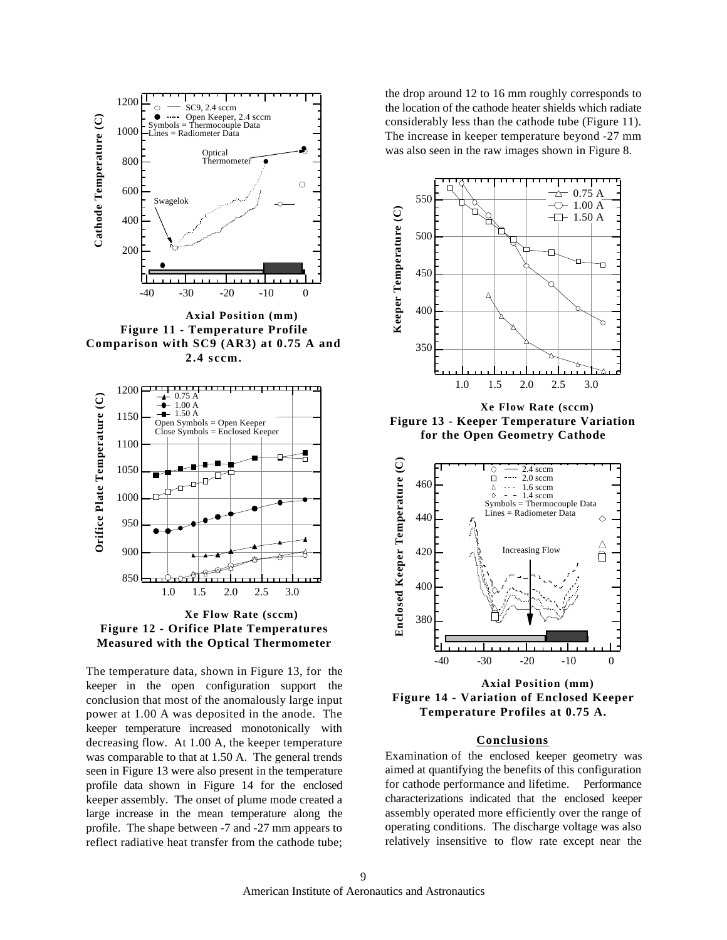

**Figure 11 - Temperature Profile Comparison with SC9 (AR3) at 0.75 A and 2.4 sccm.**



**Xe Flow Rate (sccm) Figure 12 - Orifice Plate Temperatures Measured with the Optical Thermometer**

The temperature data, shown in Figure 13, for the keeper in the open configuration support the conclusion that most of the anomalously large input power at 1.00 A was deposited in the anode. The keeper temperature increased monotonically with decreasing flow. At 1.00 A, the keeper temperature was comparable to that at 1.50 A. The general trends seen in Figure 13 were also present in the temperature profile data shown in Figure 14 for the enclosed keeper assembly. The onset of plume mode created a large increase in the mean temperature along the profile. The shape between -7 and -27 mm appears to reflect radiative heat transfer from the cathode tube;

the drop around 12 to 16 mm roughly corresponds to the location of the cathode heater shields which radiate considerably less than the cathode tube (Figure 11). The increase in keeper temperature beyond -27 mm was also seen in the raw images shown in Figure 8.



**Xe Flow Rate (sccm) Figure 13 - Keeper Temperature Variation for the Open Geometry Cathode**



**Axial Position (mm) Figure 14 - Variation of Enclosed Keeper Temperature Profiles at 0.75 A.**

# **Conclusions**

Examination of the enclosed keeper geometry was aimed at quantifying the benefits of this configuration for cathode performance and lifetime. Performance characterizations indicated that the enclosed keeper assembly operated more efficiently over the range of operating conditions. The discharge voltage was also relatively insensitive to flow rate except near the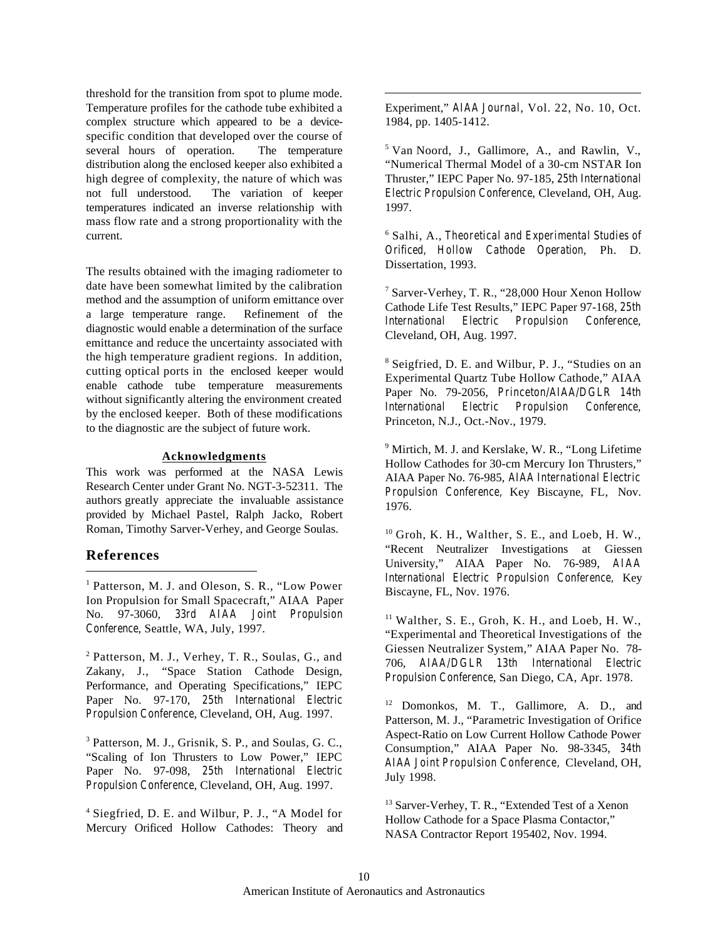threshold for the transition from spot to plume mode. Temperature profiles for the cathode tube exhibited a complex structure which appeared to be a devicespecific condition that developed over the course of several hours of operation. The temperature distribution along the enclosed keeper also exhibited a high degree of complexity, the nature of which was not full understood. The variation of keeper temperatures indicated an inverse relationship with mass flow rate and a strong proportionality with the current.

The results obtained with the imaging radiometer to date have been somewhat limited by the calibration method and the assumption of uniform emittance over a large temperature range. Refinement of the diagnostic would enable a determination of the surface emittance and reduce the uncertainty associated with the high temperature gradient regions. In addition, cutting optical ports in the enclosed keeper would enable cathode tube temperature measurements without significantly altering the environment created by the enclosed keeper. Both of these modifications to the diagnostic are the subject of future work.

### **Acknowledgments**

This work was performed at the NASA Lewis Research Center under Grant No. NGT-3-52311. The authors greatly appreciate the invaluable assistance provided by Michael Pastel, Ralph Jacko, Robert Roman, Timothy Sarver-Verhey, and George Soulas.

# **References**

 $\overline{a}$ 

<sup>1</sup> Patterson, M. J. and Oleson, S. R., "Low Power Ion Propulsion for Small Spacecraft," AIAA Paper No. 97-3060, *33rd AIAA Joint Propulsion Conference*, Seattle, WA, July, 1997.

<sup>2</sup> Patterson, M. J., Verhey, T. R., Soulas, G., and Zakany, J., "Space Station Cathode Design, Performance, and Operating Specifications," IEPC Paper No. 97-170, *25th International Electric Propulsion Conference*, Cleveland, OH, Aug. 1997.

<sup>3</sup> Patterson, M. J., Grisnik, S. P., and Soulas, G. C., "Scaling of Ion Thrusters to Low Power," IEPC Paper No. 97-098, *25th International Electric Propulsion Conference*, Cleveland, OH, Aug. 1997.

4 Siegfried, D. E. and Wilbur, P. J., "A Model for Mercury Orificed Hollow Cathodes: Theory and Experiment," *AIAA Journal*, Vol. 22, No. 10, Oct. 1984, pp. 1405-1412.

 $\overline{a}$ 

5 Van Noord, J., Gallimore, A., and Rawlin, V., "Numerical Thermal Model of a 30-cm NSTAR Ion Thruster," IEPC Paper No. 97-185, *25th International Electric Propulsion Conference*, Cleveland, OH, Aug. 1997.

6 Salhi, A., *Theoretical and Experimental Studies of Orificed, Hollow Cathode Operation*, Ph. D. Dissertation, 1993.

7 Sarver-Verhey, T. R., "28,000 Hour Xenon Hollow Cathode Life Test Results," IEPC Paper 97-168, *25th International Electric Propulsion Conference*, Cleveland, OH, Aug. 1997.

<sup>8</sup> Seigfried, D. E. and Wilbur, P. J., "Studies on an Experimental Quartz Tube Hollow Cathode," AIAA Paper No. 79-2056, *Princeton/AIAA/DGLR 14th International Electric Propulsion Conference*, Princeton, N.J., Oct.-Nov., 1979.

<sup>9</sup> Mirtich, M. J. and Kerslake, W. R., "Long Lifetime Hollow Cathodes for 30-cm Mercury Ion Thrusters," AIAA Paper No. 76-985, *AIAA International Electric Propulsion Conference,* Key Biscayne, FL, Nov. 1976.

 $10$  Groh, K. H., Walther, S. E., and Loeb, H. W., "Recent Neutralizer Investigations at Giessen University," AIAA Paper No. 76-989, *AIAA International Electric Propulsion Conference,* Key Biscayne, FL, Nov. 1976.

 $11$  Walther, S. E., Groh, K. H., and Loeb, H. W., "Experimental and Theoretical Investigations of the Giessen Neutralizer System," AIAA Paper No. 78- 706, *AIAA/DGLR 13th International Electric Propulsion Conference*, San Diego, CA, Apr. 1978.

<sup>12</sup> Domonkos, M. T., Gallimore, A. D., and Patterson, M. J., "Parametric Investigation of Orifice Aspect-Ratio on Low Current Hollow Cathode Power Consumption," AIAA Paper No. 98-3345, *34th AIAA Joint Propulsion Conference,* Cleveland, OH, July 1998.

<sup>13</sup> Sarver-Verhey, T. R., "Extended Test of a Xenon Hollow Cathode for a Space Plasma Contactor," NASA Contractor Report 195402, Nov. 1994.